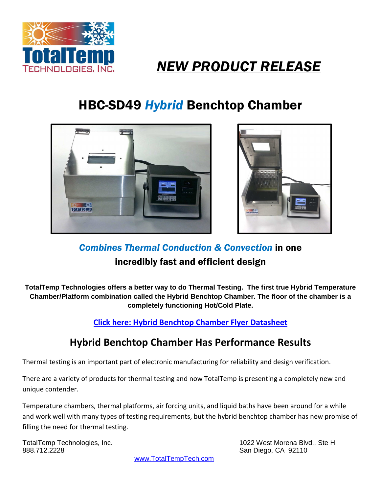

## *NEW PRODUCT RELEASE*

## HBC-SD49 *Hybrid* Benchtop Chamber





*Combines Thermal Conduction & Convection* in one incredibly fast and efficient design

**TotalTemp Technologies offers a better way to do Thermal Testing. The first true Hybrid Temperature Chamber/Platform combination called the Hybrid Benchtop Chamber. The floor of the chamber is a completely functioning Hot/Cold Plate.**

**Click here: Hybrid Benchtop Chamber Flyer Datasheet**

## **Hybrid Benchtop Chamber Has Performance Results**

Thermal testing is an important part of electronic manufacturing for reliability and design verification.

There are a variety of products for thermal testing and now TotalTemp is presenting a completely new and unique contender.

Temperature chambers, thermal platforms, air forcing units, and liquid baths have been around for a while and work well with many types of testing requirements, but the hybrid benchtop chamber has new promise of filling the need for thermal testing.

888.712.2228 San Diego, CA 92110

TotalTemp Technologies, Inc. 1022 West Morena Blvd., Ste H

www.TotalTempTech.com